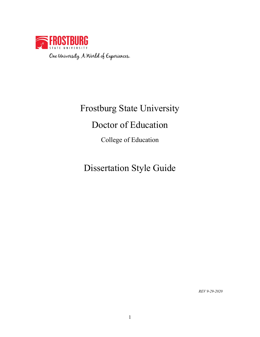

# Frostburg State University

# Doctor of Education

College of Education

# Dissertation Style Guide

*REV 9-29-2020*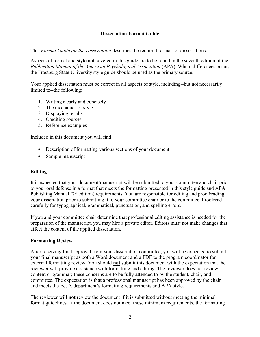# **Dissertation Format Guide**

This *Format Guide for the Dissertation* describes the required format for dissertations.

Aspects of format and style not covered in this guide are to be found in the seventh edition of the *Publication Manual of the American Psychological Association* (APA). Where differences occur, the Frostburg State University style guide should be used as the primary source.

Your applied dissertation must be correct in all aspects of style, including--but not necessarily limited to--the following:

- 1. Writing clearly and concisely
- 2. The mechanics of style
- 3. Displaying results
- 4. Crediting sources
- 5. Reference examples

Included in this document you will find:

- Description of formatting various sections of your document
- Sample manuscript

# **Editing**

It is expected that your document/manuscript will be submitted to your committee and chair prior to your oral defense in a format that meets the formatting presented in this style guide and APA Publishing Manual (7<sup>th</sup> edition) requirements. You are responsible for editing and proofreading your dissertation prior to submitting it to your committee chair or to the committee. Proofread carefully for typographical, grammatical, punctuation, and spelling errors.

If you and your committee chair determine that professional editing assistance is needed for the preparation of the manuscript, you may hire a private editor. Editors must not make changes that affect the content of the applied dissertation.

## **Formatting Review**

After receiving final approval from your dissertation committee, you will be expected to submit your final manuscript as both a Word document and a PDF to the program coordinator for external formatting review. You should **not** submit this document with the expectation that the reviewer will provide assistance with formatting and editing. The reviewer does not review content or grammar; these concerns are to be fully attended to by the student, chair, and committee. The expectation is that a professional manuscript has been approved by the chair and meets the Ed.D. department's formatting requirements and APA style.

The reviewer will **not** review the document if it is submitted without meeting the minimal format guidelines. If the document does not meet these minimum requirements, the formatting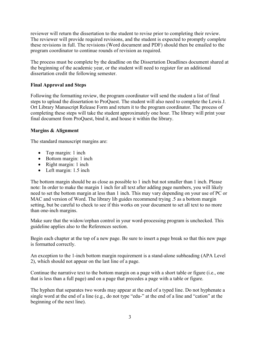reviewer will return the dissertation to the student to revise prior to completing their review. The reviewer will provide required revisions, and the student is expected to promptly complete these revisions in full. The revisions (Word document and PDF) should then be emailed to the program coordinator to continue rounds of revision as required.

The process must be complete by the deadline on the Dissertation Deadlines document shared at the beginning of the academic year, or the student will need to register for an additional dissertation credit the following semester.

# **Final Approval and Steps**

Following the formatting review, the program coordinator will send the student a list of final steps to upload the dissertation to ProQuest. The student will also need to complete the Lewis J. Ort Library Manuscript Release Form and return it to the program coordinator. The process of completing these steps will take the student approximately one hour. The library will print your final document from ProQuest, bind it, and house it within the library.

# **Margins & Alignment**

The standard manuscript margins are:

- Top margin: 1 inch
- Bottom margin: 1 inch
- Right margin: 1 inch
- Left margin: 1.5 inch

The bottom margin should be as close as possible to 1 inch but not smaller than 1 inch. Please note: In order to make the margin 1 inch for all text after adding page numbers, you will likely need to set the bottom margin at less than 1 inch. This may vary depending on your use of PC or MAC and version of Word. The library lib guides recommend trying .5 as a bottom margin setting, but be careful to check to see if this works on your document to set all text to no more than one-inch margins.

Make sure that the widow/orphan control in your word-processing program is unchecked. This guideline applies also to the References section.

Begin each chapter at the top of a new page. Be sure to insert a page break so that this new page is formatted correctly.

An exception to the 1-inch bottom margin requirement is a stand-alone subheading (APA Level 2), which should not appear on the last line of a page.

Continue the narrative text to the bottom margin on a page with a short table or figure (i.e., one that is less than a full page) and on a page that precedes a page with a table or figure.

The hyphen that separates two words may appear at the end of a typed line. Do not hyphenate a single word at the end of a line (e.g., do not type "edu-" at the end of a line and "cation" at the beginning of the next line).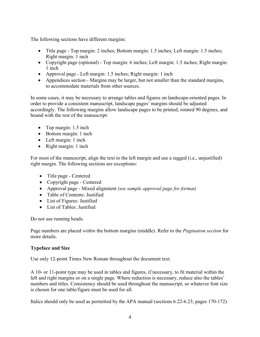The following sections have different margins:

- Title page Top margin: 2 inches; Bottom margin: 1.5 inches; Left margin: 1.5 inches; Right margin: 1 inch
- Copyright page (optional) Top margin: 6 inches; Left margin: 1.5 inches; Right margin: 1 inch
- Approval page Left margin: 1.5 inches; Right margin: 1 inch
- Appendices section Margins may be larger, but not smaller than the standard margins, to accommodate materials from other sources.

In some cases, it may be necessary to arrange tables and figures on landscape-oriented pages. In order to provide a consistent manuscript, landscape pages' margins should be adjusted accordingly. The following margins allow landscape pages to be printed, rotated 90 degrees, and bound with the rest of the manuscript:

- Top margin: 1.5 inch
- Bottom margin: 1 inch
- Left margin: 1 inch
- Right margin: 1 inch

For most of the manuscript, align the text to the left margin and use a ragged (i.e., unjustified) right margin. The following sections are exceptions:

- Title page Centered
- Copyright page Centered
- Approval page Mixed alignment *(see sample approval page for format)*
- Table of Contents: Justified
- List of Figures: Justified
- List of Tables: Justified

Do not use running heads.

Page numbers are placed *within* the bottom margins (middle). Refer to the *Pagination section* for more details.

# **Typeface and Size**

Use only 12-point Times New Roman throughout the document text.

A 10- or 11-point type may be used in tables and figures, if necessary, to fit material within the left and right margins or on a single page. Where reduction is necessary, reduce also the tables' numbers and titles. Consistency should be used throughout the manuscript, so whatever font size is chosen for one table/figure must be used for all.

Italics should only be used as permitted by the APA manual (sections 6.22-6.23, pages 170-172).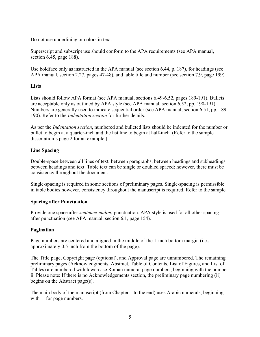Do not use underlining or colors in text.

Superscript and subscript use should conform to the APA requirements (see APA manual, section 6.45, page 188).

Use boldface only as instructed in the APA manual (see section 6.44, p. 187), for headings (see APA manual, section 2.27, pages 47-48), and table title and number (see section 7.9, page 199).

# **Lists**

Lists should follow APA format (see APA manual, sections 6.49-6.52, pages 189-191). Bullets are acceptable only as outlined by APA style (see APA manual, section 6.52, pp. 190-191). Numbers are generally used to indicate sequential order (see APA manual, section 6.51, pp. 189- 190). Refer to the *Indentation section* for further details.

As per the *Indentation section*, numbered and bulleted lists should be indented for the number or bullet to begin at a quarter-inch and the list line to begin at half-inch. (Refer to the sample dissertation's page 2 for an example.)

# **Line Spacing**

Double-space between all lines of text, between paragraphs, between headings and subheadings, between headings and text. Table text can be single or doubled spaced; however, there must be consistency throughout the document.

Single-spacing is required in some sections of preliminary pages. Single-spacing is permissible in table bodies however, consistency throughout the manuscript is required. Refer to the sample.

# **Spacing after Punctuation**

Provide one space after *sentence-ending* punctuation. APA style is used for all other spacing after punctuation (see APA manual, section 6.1, page 154).

# **Pagination**

Page numbers are centered and aligned in the middle of the 1-inch bottom margin (i.e., approximately 0.5 inch from the bottom of the page).

The Title page, Copyright page (optional), and Approval page are unnumbered. The remaining preliminary pages (Acknowledgments, Abstract, Table of Contents, List of Figures, and List of Tables) are numbered with lowercase Roman numeral page numbers, beginning with the number ii. Please note: If there is no Acknowledgements section, the preliminary page numbering (ii) begins on the Abstract page(s).

The main body of the manuscript (from Chapter 1 to the end) uses Arabic numerals, beginning with 1, for page numbers.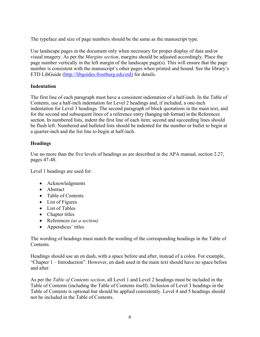The typeface and size of page numbers should be the same as the manuscript type.

Use landscape pages in the document only when necessary for proper display of data and/or visual imagery. As per the *Margins section*, margins should be adjusted accordingly. Place the page number vertically in the left margin of the landscape page(s). This will ensure that the page number is consistent with the manuscript's other pages when printed and bound. See the library's ETD LibGuide (http://libguides.frostburg.edu/etd) for details.

# **Indentation**

The first line of each paragraph must have a consistent indentation of a half-inch. In the Table of Contents, use a half-inch indentation for Level 2 headings and, if included, a one-inch indentation for Level 3 headings. The second paragraph of block quotations in the main text, and for the second and subsequent lines of a reference entry (hanging tab format) in the References section. In numbered lists, indent the first line of each item; second and succeeding lines should be flush left. Numbered and bulleted lists should be indented for the number or bullet to begin at a quarter-inch and the list line to begin at half-inch.

# **Headings**

Use no more than the five levels of headings as are described in the APA manual, section 2.27, pages 47-48.

Level 1 headings are used for:

- Acknowledgments
- Abstract
- Table of Contents
- List of Figures
- List of Tables
- Chapter titles
- References *(as a section)*
- Appendices' titles

The wording of headings must match the wording of the corresponding headings in the Table of Contents.

Headings should use an en dash, with a space before and after, instead of a colon. For example, "Chapter 1 – Introduction". However, en dash used in the main text should have no space before and after.

As per the *Table of Contents section*, all Level 1 and Level 2 headings must be included in the Table of Contents (including the Table of Contents itself). Inclusion of Level 3 headings in the Table of Contents is optional but should be applied consistently. Level 4 and 5 headings should not be included in the Table of Contents.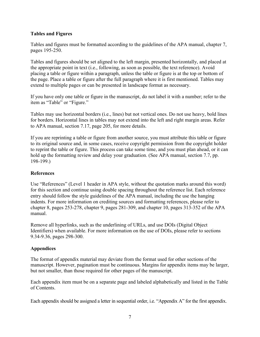# **Tables and Figures**

Tables and figures must be formatted according to the guidelines of the APA manual, chapter 7, pages 195-250.

Tables and figures should be set aligned to the left margin, presented horizontally, and placed at the appropriate point in text (i.e., following, as soon as possible, the text reference). Avoid placing a table or figure within a paragraph, unless the table or figure is at the top or bottom of the page. Place a table or figure after the full paragraph where it is first mentioned. Tables may extend to multiple pages or can be presented in landscape format as necessary.

If you have only one table or figure in the manuscript, do not label it with a number; refer to the item as "Table" or "Figure."

Tables may use horizontal borders (i.e., lines) but not vertical ones. Do not use heavy, bold lines for borders. Horizontal lines in tables may not extend into the left and right margin areas. Refer to APA manual, section 7.17, page 205, for more details.

If you are reprinting a table or figure from another source, you must attribute this table or figure to its original source and, in some cases, receive copyright permission from the copyright holder to reprint the table or figure. This process can take some time, and you must plan ahead, or it can hold up the formatting review and delay your graduation. (See APA manual, section 7.7, pp. 198-199.)

# **References**

Use "References" (Level 1 header in APA style, without the quotation marks around this word) for this section and continue using double spacing throughout the reference list. Each reference entry should follow the style guidelines of the APA manual, including the use the hanging indents. For more information on crediting sources and formatting references, please refer to chapter 8, pages 253-278, chapter 9, pages 281-309, and chapter 10, pages 313-352 of the APA manual.

Remove all hyperlinks, such as the underlining of URLs, and use DOIs (Digital Object Identifiers) when available. For more information on the use of DOIs, please refer to sections 9.34-9.36, pages 298-300.

# **Appendices**

The format of appendix material may deviate from the format used for other sections of the manuscript. However, pagination must be continuous. Margins for appendix items may be larger, but not smaller, than those required for other pages of the manuscript.

Each appendix item must be on a separate page and labeled alphabetically and listed in the Table of Contents.

Each appendix should be assigned a letter in sequential order, i.e. "Appendix A" for the first appendix.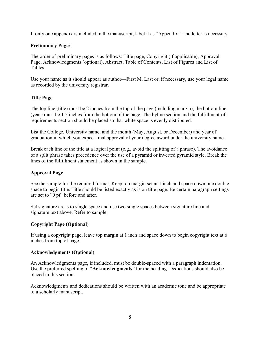If only one appendix is included in the manuscript, label it as "Appendix" – no letter is necessary.

# **Preliminary Pages**

The order of preliminary pages is as follows: Title page, Copyright (if applicable), Approval Page, Acknowledgments (optional), Abstract, Table of Contents, List of Figures and List of Tables.

Use your name as it should appear as author—First M. Last or, if necessary, use your legal name as recorded by the university registrar.

# **Title Page**

The top line (title) must be 2 inches from the top of the page (including margin); the bottom line (year) must be 1.5 inches from the bottom of the page. The byline section and the fulfillment-ofrequirements section should be placed so that white space is evenly distributed.

List the College, University name, and the month (May, August, or December) and year of graduation in which you expect final approval of your degree award under the university name.

Break each line of the title at a logical point (e.g., avoid the splitting of a phrase). The avoidance of a split phrase takes precedence over the use of a pyramid or inverted pyramid style. Break the lines of the fulfillment statement as shown in the sample.

# **Approval Page**

See the sample for the required format. Keep top margin set at 1 inch and space down one double space to begin title. Title should be listed exactly as is on title page. Be certain paragraph settings are set to "0 pt" before and after.

Set signature areas to single space and use two single spaces between signature line and signature text above. Refer to sample.

## **Copyright Page (Optional)**

If using a copyright page, leave top margin at 1 inch and space down to begin copyright text at 6 inches from top of page.

## **Acknowledgments (Optional)**

An Acknowledgments page, if included, must be double-spaced with a paragraph indentation. Use the preferred spelling of "**Acknowledgments**" for the heading. Dedications should also be placed in this section.

Acknowledgments and dedications should be written with an academic tone and be appropriate to a scholarly manuscript.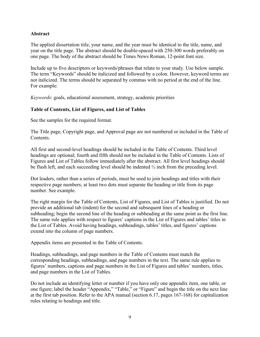# **Abstract**

The applied dissertation title, your name, and the year must be identical to the title, name, and year on the title page. The abstract should be double-spaced with 250-300 words preferably on one page. The body of the abstract should be Times News Roman, 12-point font size.

Include up to five descriptors or keywords/phrases that relate to your study. Use below sample. The term "Keywords" should be italicized and followed by a colon. However, keyword terms are not italicized. The terms should be separated by commas with no period at the end of the line. For example:

*Keywords*: goals, educational assessment, strategy, academic priorities

# **Table of Contents, List of Figures, and List of Tables**

See the samples for the required format.

The Title page, Copyright page, and Approval page are not numbered or included in the Table of Contents.

All first and second-level headings should be included in the Table of Contents. Third level headings are optional; fourth and fifth should not be included in the Table of Contents. Lists of Figures and List of Tables follow immediately after the abstract. All first level headings should be flush left, and each succeeding level should be indented ½ inch from the preceding level.

Dot leaders, rather than a series of periods, must be used to join headings and titles with their respective page numbers; at least two dots must separate the heading or title from its page number. See example.

The right margin for the Table of Contents, List of Figures, and List of Tables is justified. Do not provide an additional tab (indent) for the second and subsequent lines of a heading or subheading; begin the second line of the heading or subheading at the same point as the first line. The same rule applies with respect to figures' captions in the List of Figures and tables' titles in the List of Tables. Avoid having headings, subheadings, tables' titles, and figures' captions extend into the column of page numbers.

Appendix items are presented in the Table of Contents.

Headings, subheadings, and page numbers in the Table of Contents must match the corresponding headings, subheadings, and page numbers in the text. The same rule applies to figures' numbers, captions and page numbers in the List of Figures and tables' numbers, titles, and page numbers in the List of Tables.

Do not include an identifying letter or number if you have only one appendix item, one table, or one figure; label the header "Appendix," "Table," or "Figure" and begin the title on the next line at the first tab position. Refer to the APA manual (section 6.17, pages 167-168) for capitalization rules relating to headings and title.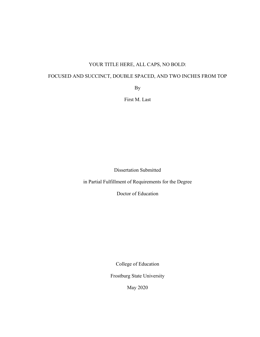# YOUR TITLE HERE, ALL CAPS, NO BOLD:

# FOCUSED AND SUCCINCT, DOUBLE SPACED, AND TWO INCHES FROM TOP

By

First M. Last

Dissertation Submitted

in Partial Fulfillment of Requirements for the Degree

Doctor of Education

College of Education

Frostburg State University

May 2020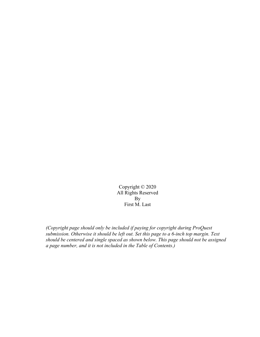Copyright © 2020 All Rights Reserved By First M. Last

*(Copyright page should only be included if paying for copyright during ProQuest submission. Otherwise it should be left out. Set this page to a 6-inch top margin. Text should be centered and single spaced as shown below. This page should not be assigned a page number, and it is not included in the Table of Contents.)*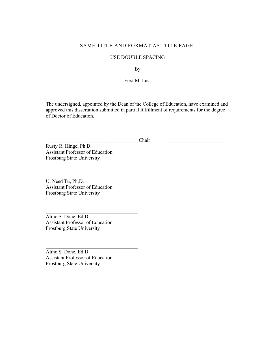## SAME TITLE AND FORMAT AS TITLE PAGE:

### USE DOUBLE SPACING

By

First M. Last

The undersigned, appointed by the Dean of the College of Education, have examined and approved this dissertation submitted in partial fulfillment of requirements for the degree of Doctor of Education.

 ${\rm Chair}$ 

Rusty R. Hinge, Ph.D. Assistant Professor of Education Frostburg State University

U. Need Tu, Ph.D. Assistant Professor of Education Frostburg State University

Almo S. Done, Ed.D. Assistant Professor of Education Frostburg State University

Almo S. Done, Ed.D. Assistant Professor of Education Frostburg State University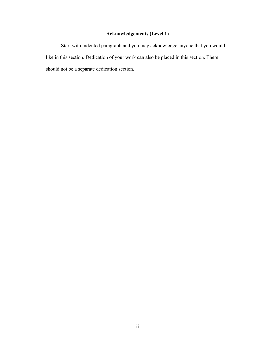# **Acknowledgements (Level 1)**

Start with indented paragraph and you may acknowledge anyone that you would like in this section. Dedication of your work can also be placed in this section. There should not be a separate dedication section.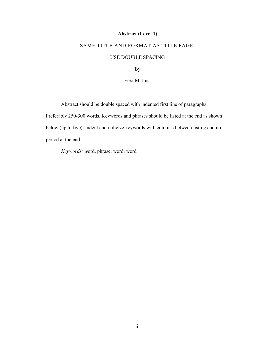# **Abstract (Level 1)**

# SAME TITLE AND FORMAT AS TITLE PAGE:

## USE DOUBLE SPACING

By

First M. Last

Abstract should be double spaced with indented first line of paragraphs.

Preferably 250-300 words. Keywords and phrases should be listed at the end as shown below (up to five). Indent and italicize keywords with commas between listing and no period at the end.

*Keywords: w*ord, phrase, word, word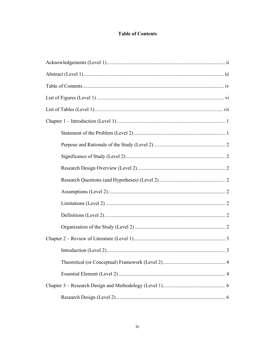# **Table of Contents**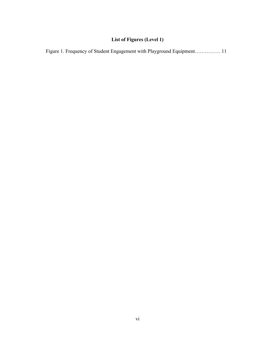# **List of Figures (Level 1)**

| Figure 1. Frequency of Student Engagement with Playground Equipment 11 |
|------------------------------------------------------------------------|
|------------------------------------------------------------------------|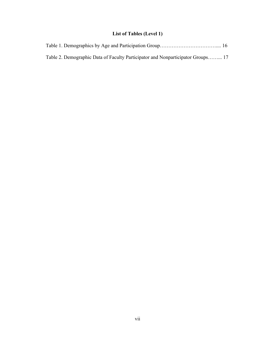# **List of Tables (Level 1)**

| Table 2. Demographic Data of Faculty Participator and Nonparticipator Groups 17 |  |
|---------------------------------------------------------------------------------|--|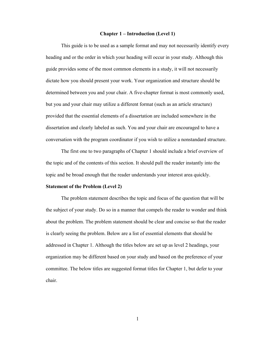### **Chapter 1 – Introduction (Level 1)**

This guide is to be used as a sample format and may not necessarily identify every heading and or the order in which your heading will occur in your study. Although this guide provides some of the most common elements in a study, it will not necessarily dictate how you should present your work. Your organization and structure should be determined between you and your chair. A five-chapter format is most commonly used, but you and your chair may utilize a different format (such as an article structure) provided that the essential elements of a dissertation are included somewhere in the dissertation and clearly labeled as such. You and your chair are encouraged to have a conversation with the program coordinator if you wish to utilize a nonstandard structure.

The first one to two paragraphs of Chapter 1 should include a brief overview of the topic and of the contents of this section. It should pull the reader instantly into the topic and be broad enough that the reader understands your interest area quickly.

#### **Statement of the Problem (Level 2)**

The problem statement describes the topic and focus of the question that will be the subject of your study. Do so in a manner that compels the reader to wonder and think about the problem. The problem statement should be clear and concise so that the reader is clearly seeing the problem. Below are a list of essential elements that should be addressed in Chapter 1. Although the titles below are set up as level 2 headings, your organization may be different based on your study and based on the preference of your committee. The below titles are suggested format titles for Chapter 1, but defer to your chair.

1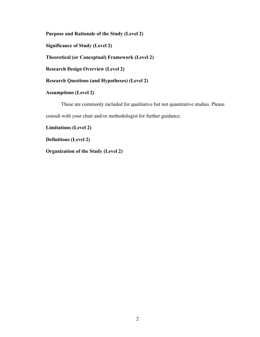**Purpose and Rationale of the Study (Level 2)**

**Significance of Study (Level 2)**

**Theoretical (or Conceptual) Framework (Level 2)**

**Research Design Overview (Level 2)**

**Research Questions (and Hypotheses) (Level 2)**

**Assumptions (Level 2)**

These are commonly included for qualitative but not quantitative studies. Please consult with your chair and/or methodologist for further guidance.

**Limitations (Level 2)**

**Definitions (Level 2)**

**Organization of the Study (Level 2)**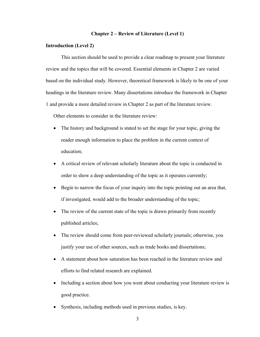### **Chapter 2 – Review of Literature (Level 1)**

### **Introduction (Level 2)**

This section should be used to provide a clear roadmap to present your literature review and the topics that will be covered. Essential elements in Chapter 2 are varied based on the individual study. However, theoretical framework is likely to be one of your headings in the literature review. Many dissertations introduce the framework in Chapter 1 and provide a more detailed review in Chapter 2 as part of the literature review.

Other elements to consider in the literature review:

- The history and background is stated to set the stage for your topic, giving the reader enough information to place the problem in the current context of education;
- A critical review of relevant scholarly literature about the topic is conducted in order to show a deep understanding of the topic as it operates currently;
- Begin to narrow the focus of your inquiry into the topic pointing out an area that, if investigated, would add to the broader understanding of the topic;
- The review of the current state of the topic is drawn primarily from recently published articles;
- The review should come from peer-reviewed scholarly journals; otherwise, you justify your use of other sources, such as trade books and dissertations;
- A statement about how saturation has been reached in the literature review and efforts to find related research are explained.
- Including a section about how you went about conducting your literature review is good practice.
- Synthesis, including methods used in previous studies, is key.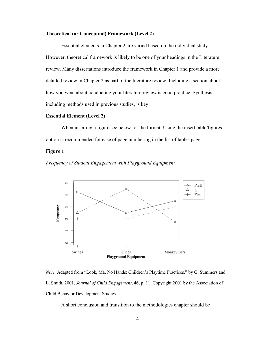### **Theoretical (or Conceptual) Framework (Level 2)**

Essential elements in Chapter 2 are varied based on the individual study. However, theoretical framework is likely to be one of your headings in the Literature review. Many dissertations introduce the framework in Chapter 1 and provide a more detailed review in Chapter 2 as part of the literature review. Including a section about how you went about conducting your literature review is good practice. Synthesis, including methods used in previous studies, is key.

### **Essential Element (Level 2)**

When inserting a figure see below for the format. Using the insert table/figures option is recommended for ease of page numbering in the list of tables page.

### **Figure 1**





*Note.* Adapted from "Look, Ma, No Hands: Children's Playtime Practices," by G. Summers and L. Smith, 2001, *Journal of Child Engagement*, 46, p. 11. Copyright 2001 by the Association of Child Behavior Development Studies.

A short conclusion and transition to the methodologies chapter should be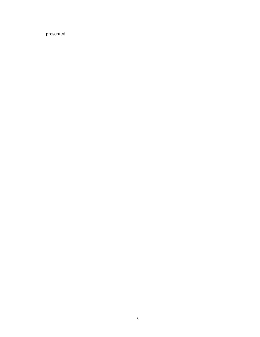presented.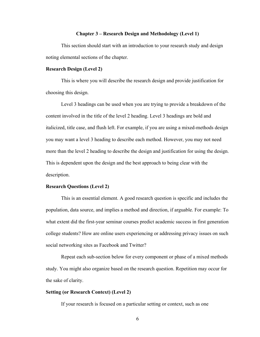### **Chapter 3 – Research Design and Methodology (Level 1)**

This section should start with an introduction to your research study and design noting elemental sections of the chapter.

#### **Research Design (Level 2)**

This is where you will describe the research design and provide justification for choosing this design.

Level 3 headings can be used when you are trying to provide a breakdown of the content involved in the title of the level 2 heading. Level 3 headings are bold and italicized, title case, and flush left. For example, if you are using a mixed-methods design you may want a level 3 heading to describe each method. However, you may not need more than the level 2 heading to describe the design and justification for using the design. This is dependent upon the design and the best approach to being clear with the description.

#### **Research Questions (Level 2)**

This is an essential element. A good research question is specific and includes the population, data source, and implies a method and direction, if arguable. For example: To what extent did the first-year seminar courses predict academic success in first generation college students? How are online users experiencing or addressing privacy issues on such social networking sites as Facebook and Twitter?

Repeat each sub-section below for every component or phase of a mixed methods study. You might also organize based on the research question. Repetition may occur for the sake of clarity.

### **Setting (or Research Context) (Level 2)**

If your research is focused on a particular setting or context, such as one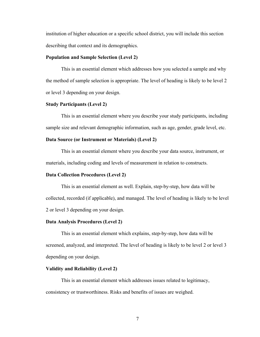institution of higher education or a specific school district, you will include this section describing that context and its demographics.

### **Population and Sample Selection (Level 2)**

This is an essential element which addresses how you selected a sample and why the method of sample selection is appropriate. The level of heading is likely to be level 2 or level 3 depending on your design.

### **Study Participants (Level 2)**

This is an essential element where you describe your study participants, including sample size and relevant demographic information, such as age, gender, grade level, etc.

### **Data Source (or Instrument or Materials) (Level 2)**

This is an essential element where you describe your data source, instrument, or materials, including coding and levels of measurement in relation to constructs.

### **Data Collection Procedures (Level 2)**

This is an essential element as well. Explain, step-by-step, how data will be collected, recorded (if applicable), and managed. The level of heading is likely to be level 2 or level 3 depending on your design.

### **Data Analysis Procedures (Level 2)**

This is an essential element which explains, step-by-step, how data will be screened, analyzed, and interpreted. The level of heading is likely to be level 2 or level 3 depending on your design.

### **Validity and Reliability (Level 2)**

This is an essential element which addresses issues related to legitimacy, consistency or trustworthiness. Risks and benefits of issues are weighed.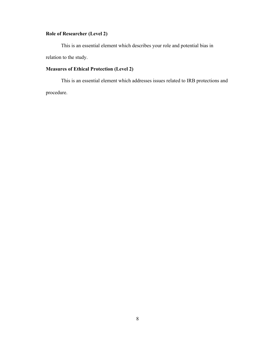# **Role of Researcher (Level 2)**

This is an essential element which describes your role and potential bias in relation to the study.

# **Measures of Ethical Protection (Level 2)**

This is an essential element which addresses issues related to IRB protections and procedure.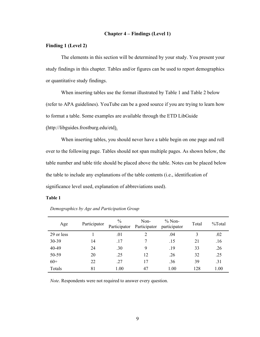### **Chapter 4 – Findings (Level 1)**

### **Finding 1 (Level 2)**

The elements in this section will be determined by your study. You present your study findings in this chapter. Tables and/or figures can be used to report demographics or quantitative study findings.

When inserting tables use the format illustrated by Table 1 and Table 2 below (refer to APA guidelines). YouTube can be a good source if you are trying to learn how to format a table. Some examples are available through the ETD LibGuide (http://libguides.frostburg.edu/etd).

When inserting tables, you should never have a table begin on one page and roll over to the following page. Tables should not span multiple pages. As shown below, the table number and table title should be placed above the table. Notes can be placed below the table to include any explanations of the table contents (i.e., identification of significance level used, explanation of abbreviations used).

#### **Table 1**

| Age        | Participator | $\frac{0}{0}$ | Non-<br>Participator Participator | $\%$ Non-<br>participator | Total | $\%$ Total |
|------------|--------------|---------------|-----------------------------------|---------------------------|-------|------------|
| 29 or less |              | .01           | $\mathcal{D}_{\mathcal{A}}$       | .04                       | 3     | .02        |
| 30-39      | 14           | .17           |                                   | .15                       | 21    | .16        |
| 40-49      | 24           | .30           | 9                                 | .19                       | 33    | .26        |
| 50-59      | 20           | .25           | 12                                | .26                       | 32    | .25        |
| $60+$      | 22           | .27           | 17                                | .36                       | 39    | .31        |
| Totals     | 81           | 1.00          | 47                                | 1.00                      | 128   | 1.00       |

*Demographics by Age and Participation Group*

*Note*. Respondents were not required to answer every question.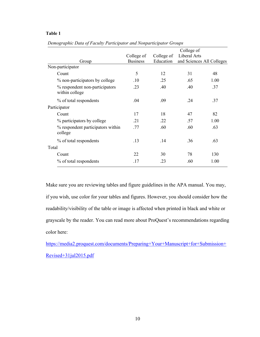### **Table 1**

|                                                  |                 |            | College of                |      |  |
|--------------------------------------------------|-----------------|------------|---------------------------|------|--|
|                                                  | College of      | College of | Liberal Arts              |      |  |
| Group                                            | <b>Business</b> | Education  | and Sciences All Colleges |      |  |
| Non-participator                                 |                 |            |                           |      |  |
| Count                                            | 5               | 12         | 31                        | 48   |  |
| % non-participators by college                   | .10             | .25        | .65                       | 1.00 |  |
| % respondent non-participators<br>within college | .23             | .40        | .40                       | .37  |  |
| % of total respondents                           | .04             | .09        | .24                       | .37  |  |
| Participator                                     |                 |            |                           |      |  |
| Count                                            | 17              | 18         | 47                        | 82   |  |
| % participators by college                       | .21             | .22        | .57                       | 1.00 |  |
| % respondent participators within<br>college     | .77             | .60        | .60                       | .63  |  |
| % of total respondents                           | .13             | .14        | .36                       | .63  |  |
| Total                                            |                 |            |                           |      |  |
| Count                                            | 22              | 30         | 78                        | 130  |  |
| % of total respondents                           | .17             | .23        | .60                       | 1.00 |  |

*Demographic Data of Faculty Participator and Nonparticipator Groups*

Make sure you are reviewing tables and figure guidelines in the APA manual. You may, if you wish, use color for your tables and figures. However, you should consider how the readability/visibility of the table or image is affected when printed in black and white or grayscale by the reader. You can read more about ProQuest's recommendations regarding color here:

https://media2.proquest.com/documents/Preparing+Your+Manuscript+for+Submission+ Revised+31jul2015.pdf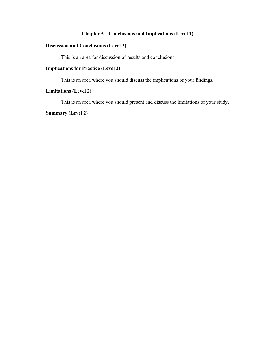# **Chapter 5 – Conclusions and Implications (Level 1)**

# **Discussion and Conclusions (Level 2)**

This is an area for discussion of results and conclusions.

# **Implications for Practice (Level 2)**

This is an area where you should discuss the implications of your findings.

# **Limitations (Level 2)**

This is an area where you should present and discuss the limitations of your study.

# **Summary (Level 2)**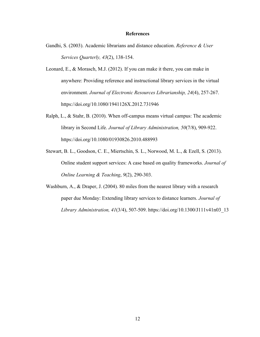### **References**

- Gandhi, S. (2003). Academic librarians and distance education. *Reference & User Services Quarterly, 43*(2), 138-154.
- Leonard, E., & Morasch, M.J. (2012). If you can make it there, you can make in anywhere: Providing reference and instructional library services in the virtual environment. *Journal of Electronic Resources Librarianship, 24*(4), 257-267. https://doi.org/10.1080/1941126X.2012.731946
- Ralph, L., & Stahr, B. (2010). When off-campus means virtual campus: The academic library in Second Life. *Journal of Library Administration, 50*(7/8), 909-922. https://doi.org/10.1080/01930826.2010.488993
- Stewart, B. L., Goodson, C. E., Miertschin, S. L., Norwood, M. L., & Ezell, S. (2013). Online student support services: A case based on quality frameworks. *Journal of Online Learning & Teaching*, *9*(2), 290-303.
- Washburn, A., & Draper, J. (2004). 80 miles from the nearest library with a research paper due Monday: Extending library services to distance learners. *Journal of Library Administration, 41*(3/4), 507-509. https://doi.org/10.1300/J111v41n03\_13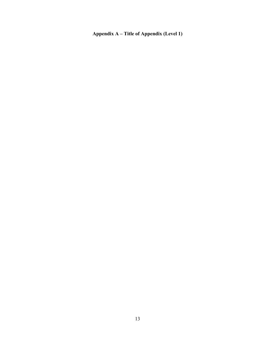**Appendix A – Title of Appendix (Level 1)**